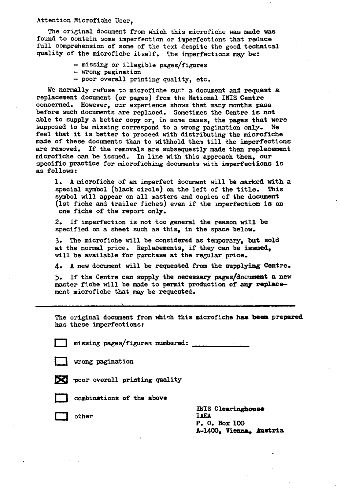#### Attention Microfiche User,

The original document from which this microfiche was made was found to contain some imperfection or imperfections that reduce full comprehension of some of the text despite the good technical quality of the microfiche itself. The imperfections may be:

- missing or illegible pages/figures
- wrong pagination
- poor overall printing quality, etc.

We normally refuse to microfiche such a document and request a replacement document (or pages) from the National INIS Centre concerned. However, our experience shows that many months pass before such documents are replaced. Sometimes the Centre is not able to supply a better copy or, in some cases, the pages that were supposed to be missing correspond to a wrong pagination only. We feel that it is better to proceed with distributing the microfiche made of these documents than to withhold them till the imperfections are removed. If the removals are subsequestly made then replacement microfiche can be issued. In line with this approach then, our specific practice for microfiching documents with imperfections is as follows:

1. A microfiche of an imperfect document will be marked with a special symbol (black circle) on the left of the title. This symbol will appear on all masters and copies of the document (1st fiche and trailer fiches) even if the imperfection is on one fiche of the report only.

2. If imperfection is not too general the reason will be specified on a sheet such as this, in the space below.

3» The microfiche will be considered as temporary, but sold at the normal price. Replacements, if they can be issued, will be available for purchase at the regular price.

4. A new document will be requested from the supplying Centre.

5. If the Centre can supply the necessary pages/document a new master fiche will be made to permit production of any replacement microfiche that may be requested.

The original document from which this microfiche has been prepared has these imperfections:

 $missing$  pages/figures numbered:

|  | wrong pagination |
|--|------------------|
|  |                  |

 $\triangleright$  poor overall printing quality





combinations of the above

other

INIS Clearinghouse<br>IAEA P. 0. Box 100 A-1400, Vienna, Austria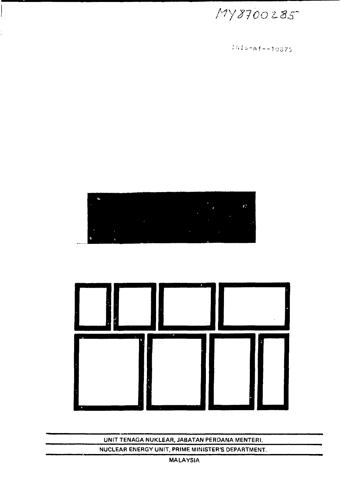### **MALAYSIA**

### NUCLEAR ENERGY UNIT, PRIME MINISTER'S DEPARTMENT.

UNIT TENAGA NUKLEAR, JABATAN PERDANA MENTERI.





 $1015 - m f - - 10875$ 

 $\sim$   $\lambda$ 

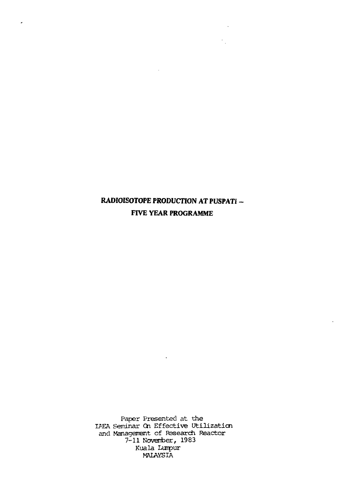# **RADIOISOTOPE PRODUCTION AT PUSPATI FIVE YEAR PROGRAMME**

 $\ddot{\phantom{a}}$ 

 $\sim$ 

 $\frac{1}{2} \frac{1}{2}$ 

 $\ddot{\phantom{a}}$ 

 $\overline{a}$ 

Paper Presented at the IAEA Seminar On Effective Utilization and Management of Research Reactor 7-11 November, 1983 Kuala Lumpur MALAYSIA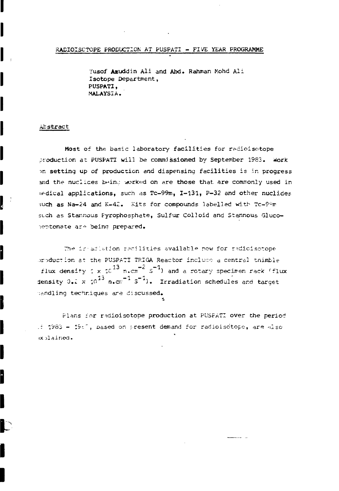#### RADIOISCTOPE PRODUCTION AT PUSPATI - FIVE YEAR PROGRAMME

Yusof Azuddin Ali and Abd. Rahman Mohd Ali Isotope Department, PUSPATI. MALAYSIA.

#### Abstract

Most of the basic laboratory facilities for radioisotope production at PUSPATI will be commissioned by September 1983. Work on setting up of production and dispensing facilities is in progress and the nuclices being worked on are those that are commonly used in medical applications, such as Tc-99m, I-131, P-32 and other nuclides such as Na-24 and K-42. Kits for compounds labelled with Tc-90m such as Stannous Pyrophosphate, Sulfur Colloid and Stannous Glucoteptonate are being prepared.

The irradistion recilities available now for redicisatope production at the PUSPATI TRIGA Reactor include a central thimble flux density  $1 \times 10^{13}$  n.cm<sup>-2</sup> s<sup>-1</sup>) and a rotary specimen rack (flux density 0.1 x  $10^{13}$  n.cm<sup>-1</sup> 3<sup>-1</sup>). Irradiation schedules and target nandling techniques are discussed.

Plans for radioisotope production at PUSPATI over the period if 1983 - 1987, pased on present demand for radioisctope, are also xplained.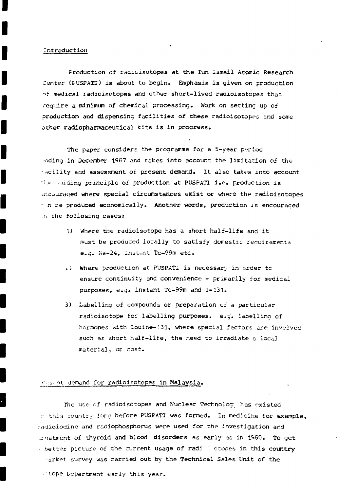#### Introduction

Production of radioisotopes at the Tun Ismail Atomic Research Center (FUSPATI) is about to begin. Emphasis is given on production of medical radioisotopes and other short-lived radioisotopes that require a minimum of chemical processing. Work on setting up of production and dispensing facilities of these radioisotopes and some other radiopharnaceutical kits is in progress.

The paper considers the programme for a 5-year period •nding in December 1987 and takes into account the limitation of the •~cility and assessment of present demand. It also takes into account the vuiding principle of production at PUSPATI i.e. production is encouraged where special circumstances exist or where the radioisotopes - n re produced economically. Another words, production is encouraged .r. the following cases:

- 1) Where the radioisotope has a short half-life and it must be produced locally to satisfy domestic requirements e.g. Na-24, Instant Tc-99m etc.
- «.•) Where production at PUSPATI is necessary in order tc ensure continuity and convenience  $-$  primarily for medical purposes, e.g. instant Tc-99m and 1-131.
- 3) Labelling of compounds or preparation of a particular radioisotope for labelling purposes, e.g. labelling of hormones with Iodine—131, where special factors are involved such as short half-life, the need to irradiate a local material, or cost.

### resent demand for radioisotopes in Malaysia.

The use of radioisotopes and Nuclear Technology has existed n this country long before PUSPATI was formed. In medicine for example, radioiodine and radiophosphorus were used for the investigation and treatment of thyroid and blood disorders as early as in 1960. To get better picture of the current usage of radi otopes in this country -arket survey was carried out by the Technical Sales Unit of the

stope Department early this year.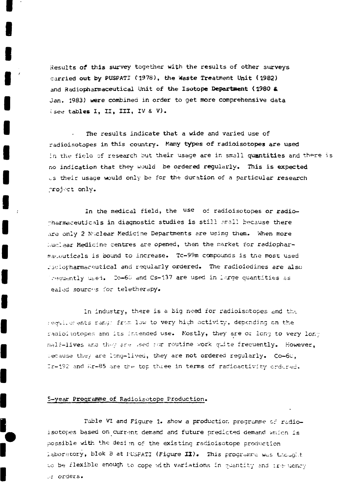Results of this survey together with the results of other surveys carried out by PUSPATI (1978), the Waste Treatment Unit (1982) and Radiopharmaceutical Unit of the Isotope Department (1980 & Jan. 1983) were combined in order to get more comprehensive data (see tables I, II, III, IV & V).

The results indicate that a wide and varied use of radioisotopes in this country. Many types of radioisotopes are used in the field of research but their usage are in small quantities and there is no indication that they would be ordered regularly. This is expected us their usage would only be for the duration of a particular research project only.

In the medical field, the use of radioisotopes or radiopharmaceuticals in diagnostic studies is still small because there are only 2 Nuclear Medicine Departments are using them. When more Wuclear Medicine centres are opened, then the market for radiopharmaceuticals is bound to increase. Tc-99m compounds is the most used radiopharmaceutical and reqularly ordered. The radioiodines are also Trequently used. Co-60 and Cs-137 are used in large quantities as ealed sourchs for teletherapy.

In industry, there is a big need for radioisotopes and the regulierents range from low to very high activity, depending on the radioisotopes and its intended use. Mostly, they are of long to very long nalf-lives and they are used for routine work quite frequently. However. Secause they are long-lived, they are not ordered regularly. Co-60. Ir-192 and Kr-85 are the top three in terms of radioactivity ordured.

#### 5-year Programme of Radioisotope Production.

Table VI and Figure 1. show a production programme of radioisotopes based on current demand and future predicted demand which is possible with the desim of the existing radioisotope production laboratory, blok B at PUSPATI (Figure II). This programme was thought to be flexible enough to cope with variations in quantity and ire uency orders.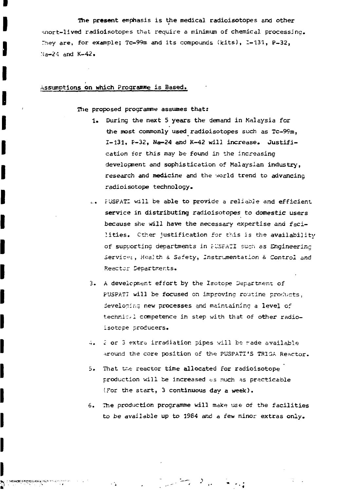The present emphasis is the medical radioisotopes and other snort-lived radioisotopes that require a minimum of chemical processing. They are, for example; Tc-99m and its compounds (kits), 1-131, P-32, Ma-24 and K-42.

### Assumptions on which Programme is Based.

The proposed programme assumes that:

- 1. During the next 5 years the demand in Malaysia for the most commonly used radioisotopes such as Tc-99m, 1-131, P-32, Na-24 and K-42 will increase. Justification fcr this may be found in the increasing development and sophistication of Malaysian industry, research and medicine and the world trend to advancing radioisotope technology.
- ... FUSPATI will be able to provide a reliabje and efficient. service in distributing radioisotopes to domestic users because she will have the necessary expertise and facilities. Cther justification for this is the availability of supporting departments in FUSFATI such as Engineering Service:, Health & Safety, Instrumentation & Control and Reactor Departments.
- 3. A development effort by the Isotope Department of PUSPATI will be focused on improving routine products, developing new processes and maintaining a level of technical competence in step with that of other radioisotcpe producers.
- •;. I or 3 extra irradiation pipes will be rade available around the core position of the PUSPATI'S TRIGA Reactor.
- 5. That tr.e reactor time allocated for radioisotope production will be increased as much as practicable (For the start, 3 continuous day a week).
- 6. The production programme will make use of the facilities to be available up to 1964 and a few minor extras only.

• •\*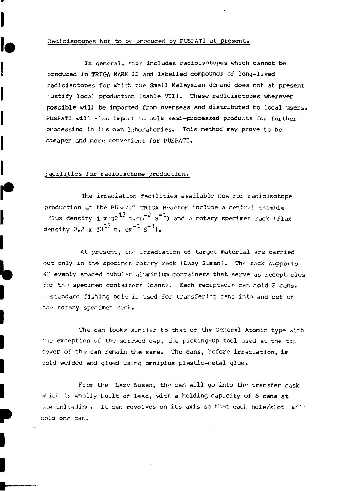#### xadiolsotopes Not to be produced by PUSPATI at present.

In general, this includes radioisotopes which cannot be produced in TRIGA MARK II and labelled compounds of long-lived radioisotopes for which the Small Malaysian demand does not at present 'ustify local production (table VII). These radioisotopes wherever possible will be imported from overseas and distributed to locdl users. PUSPATI will also import in bulk semi-processed products for further processing in its own laboratories. This method may prove to be cheaper and more convenient for PUSPATI.

#### Facilities for radioisctope production.

The irradiation facilities available now for racioisotope production at the PUSFA7T TRIGA Reactor include a centrsl thimble 'flux density 1  $x \cdot 10^{13}$  n.cm<sup>-2</sup> S<sup>-1</sup>) and a rotary specimen rack (flux density  $0.2 \times 10^{13}$  n.  $cm^{-1}$   $s^{-1}$ ).

At present, the irradiation of target material are carried out only in the specimen rotary rack (Lazy Susan}. The rack supports 40 evenly spaced tubular aluminium containers that serve as receptacles for the specimen containers (cans). Each receptacle can hold 2 cans.  $\sim$  standard fishing pole is used for transfering cans into and out of the rotary specimen rack.

The can looks similar to that of the General Atomic type with the exception of the screwed cap, the picking-up tool used at the top cover of the can remain the same. The cans, before irradiation, is cold welded and glued using omniplus plastic-metal glue.

From the Lazy Susan, the can will go into the transfer cask which is wholly built of lead, with a holding capacity of 6 cans at Whe unloading. It can revolves on its axis so that each hole/slot  $will^*$ r.old one car..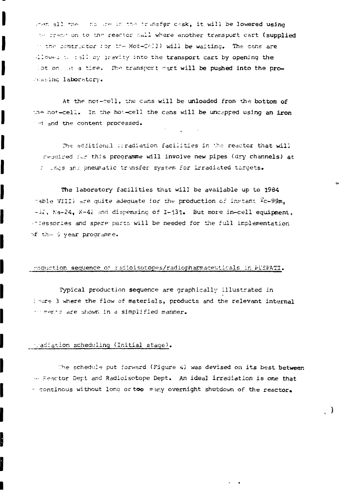when all the loss are in the transfer cask, it will be lowered using the crane on to the reactor hall where another transport cart (supplied In the contractor for the Hot-CARI) will be waiting. The cans are dlowed to fall by gravity into the transport cart by opening the lot on, at a time. The transport gart will be pushed into the processing laboratory.

At the not-cell, the cans will be unloaded from the bottom of the hot-cell. In the hot-cell the cans will be undspped using an iron and the content processed.

The additional irradiation facilities in the reactor that will required for this programme will involve new pipes (dry channels) at 2 Ings and pneumatic transfer system for irradiated targets.

The laboratory facilities that will be available up to 1984 table VIII) are quite adequate for the production of instant Tc-99m. -32, Na-24, K-42 and dispensing of I-131. But more in-cell equipment. intessories and spare parts will be needed for the full implementation of the 5 year programme.

#### poduction sequence of radioisotopes/radiopharmaceuticals in PUSPATI.

Typical production sequence are graphically illustrated in inire 3 where the flow of materials, products and the relevant internal interns are shown in a simplified manner.

#### madiation scheduling (Initial stage).

I

The schedule put forward (Figure 4) was devised on its best between the Reactor Dept and Radioisotope Dept. An ideal irradiation is one that - continous without long or too many overnight shutdown of the reactor.

- 1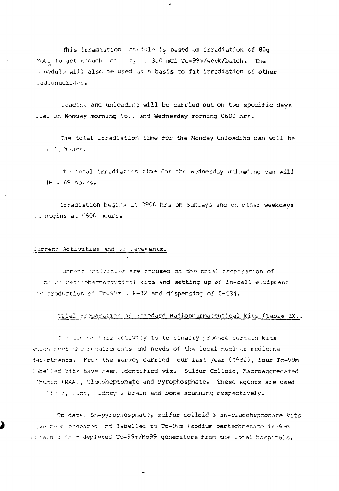This irradiation chedule is based on irradiation of 80g NoC<sub>2</sub> to get enough activity of 300 mCi Tc-99m/week/batch. The tihedule will also be used as a basis to fit irradiation of other radionuclades.

Ý.

Loading and unloading will be carried out on two specific days ..e. on Monday morning C600 and Wednesday morning 0600 hrs.

The total irradiation time for the Monday unloading can will be  $\cdot$   $\cdot$  hours.

The total irradiation time for the Wednesday unloading can will  $46 + 69$  hours.

Irradiation begins at 0900 hrs on Sundays and on other weekdays it bedins at 0600 hours.

#### Jurrent Activities and actievements.

 $\overline{a}$ 

Jurnant activities are focused on the trial preparation of notic racionhermaceutical kits and setting up of in-cell equipment for production of Tc-99r . E-32 and dispensing of I-131.

### Trial Preparation of Standard Radiopharmaceutical kits (Table IX).

The lim of this activity is to finally produce certain kits which neet the requirements and needs of the local nuclear medicine departments. From the survey carried our last year (1982), four Tc-99m Iabelled kits have been identified viz. Sulfur Colloid, Macroaggregated (Ibunin (MAA), Glucoheptonate and Pyrophosphate. These agents are used a line, Ling, lidney & brain and bone scanning respectively.

To date, Sn-pyrophosphate, sulfur colloid & sn-qlucoheptonate kits ...ve been prepared and labelled to Tc-99m (sodium pertechnatate Tc-99m outain a from depleted Tc-99m/Mo99 generators from the local hospitals.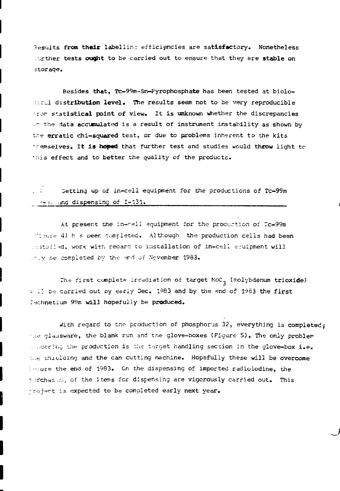Results **from their** labelling efficiencies are satisfactory. Nonetheless :.:rther **tests ought to** be carried out to ensure that they are **stable on** storage.

Besides **that,** Tc-99m-Sn-Pyrophosphate has been tested at biolo- *:.ZLA* **distribution level.** The results seem not to be very reproducible • ror\* **statistical point of** view. It is **unknown** whether the discrepancies *--* the data accumulated is a result of instrument instability as shown by *tr.e* erratic chi-squared test, cr due to problems inherent to the kits -.: emselves. It **is hoped** that further test and studies would **throw** light tc •nis effect and to better the quality of the products.

## Setting up of in-cell equipment for the productions of Tc-99m *j ~~i.\_* ..ina dispensing of 1-131.

At present the in-cell equipment for the production of Tc-99m "inure 4) h s peen completed. Although the production cells had been .:: stalled, work with redard to installation of in-cell equipment will *-'.y* ne completed by the- erd of November 1983.

The first complete irradiation of target  $\text{Koc}_3$  (molybdenum trioxide)  $v$  )) be carried out by early Dec. 1983 and by the end of 1983 the first T-echnetium 99m will hopefully be **produced.**

with regard to the production of phosphorus 32, everything is completed; the glassware, the blank run and the glove-boxes (Figure 5). The only problem . . dering the production is the target handling section in the glove-box i.e. the shielding and the can cutting machine. Hopsfully these will be overcome : -:ote the end of 1983. On the dispensing of imported radioiodine, the r irchas..., of the items for dispensing are vigorously carried out. This froject is expected to be completed early next year.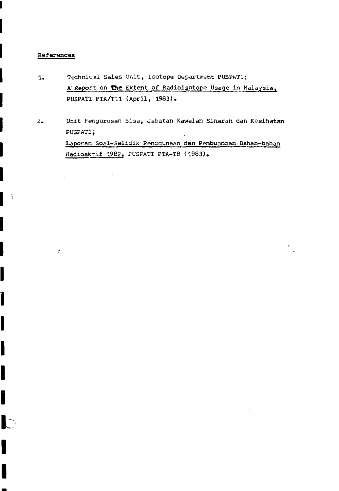#### References

 $\vec{r}$ 

I

Ï

l

I

- 1. Technical Sales Unit, Isotope Department PUSPAT1; A' Report on the Extent of Radioisotope Usage in Malaysia, PUSPATI PTA/T11 (April, 1983).
- 2. Unit Fengurusan Sisa, Jabatan Kawalan Sinaran dan Kesihatan PUSPATI*j* Laporan Soal-Selidik Pengqunaan dan Pembuangan Bahan-bahan Radioaktif 1982, PUSPATI PTA-T8 (1983).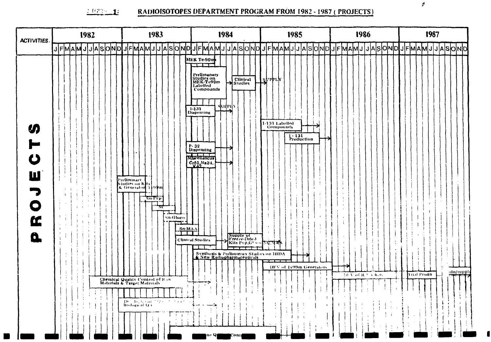#### $\mathbb{E}[\mathcal{Q}]\subseteq \mathbf{1}$ RADIOISOTOPES DEPARTMENT PROGRAM FROM 1982 - 1987 (PROJECTS)

| <b>ACTIVITIES.</b>                                                          | 1982                    | 1983                                                                                                                                                                                                                                                              | 1984                                                                                                                                                                                                                                                                                                                                                                                                                                                                                | 1985                                                                         | 1986                   | 1987                        |
|-----------------------------------------------------------------------------|-------------------------|-------------------------------------------------------------------------------------------------------------------------------------------------------------------------------------------------------------------------------------------------------------------|-------------------------------------------------------------------------------------------------------------------------------------------------------------------------------------------------------------------------------------------------------------------------------------------------------------------------------------------------------------------------------------------------------------------------------------------------------------------------------------|------------------------------------------------------------------------------|------------------------|-----------------------------|
|                                                                             | JFMAM<br> J J A S O N D | J F MA M J J A S O N D                                                                                                                                                                                                                                            | JFMAMJJJASONDJFMAMJJ                                                                                                                                                                                                                                                                                                                                                                                                                                                                | <b>OND</b><br>S<br>IΑ                                                        | <b>JASOND</b><br>'MAMJ | S O N D<br> J F M A M J J A |
| $\boldsymbol{\eta}$<br>トし<br>W<br>$\overline{\bullet}$<br>Œ<br>$\mathbf{a}$ |                         | Preliminary<br>Studies on Kits<br>56 TYP<br>جمعته<br>Sn-Gluco<br>$Sn-MA$<br>TT                                                                                                                                                                                    | MEK Te-90m<br>بسر وبرد البراي<br>Prelimanary<br>Studies on<br>MEK-Te99m<br>Labelled<br>Compounds<br>Clinical<br>Studies<br>andbil.<br>1-131<br>Dispensing<br>P-32<br>Dispensing<br>Museulancus<br>$C_{X_1}S_1N_{X_2}A$<br>Supply of the Supply of the Supply of the Supply of the Supply of the Supply of the Supply of the Supply of the Supply of the Supply of the Supply of the Supply of the Supply of the Supply of the Supply of the Supply of th<br><b>Clinical Studies</b> | <b>Ritabry</b><br>1-131 Labelled<br>Compounds<br>$\sqrt{\frac{1.131}{2500}}$ |                        |                             |
|                                                                             |                         |                                                                                                                                                                                                                                                                   | ————<br>Synthesis & Preliminary Studies on HIDA                                                                                                                                                                                                                                                                                                                                                                                                                                     |                                                                              |                        |                             |
|                                                                             |                         |                                                                                                                                                                                                                                                                   |                                                                                                                                                                                                                                                                                                                                                                                                                                                                                     | DFV of Fe99m Generators                                                      |                        |                             |
|                                                                             |                         |                                                                                                                                                                                                                                                                   |                                                                                                                                                                                                                                                                                                                                                                                                                                                                                     | -1                                                                           | THAN of R. F.A. Kits   | -dn/supply<br>'i nal Produ  |
|                                                                             |                         | Chemical Quality Control of Raw Materials & Target Materials                                                                                                                                                                                                      |                                                                                                                                                                                                                                                                                                                                                                                                                                                                                     |                                                                              |                        |                             |
|                                                                             |                         |                                                                                                                                                                                                                                                                   |                                                                                                                                                                                                                                                                                                                                                                                                                                                                                     |                                                                              |                        |                             |
|                                                                             |                         | $\frac{\mathbf{D} \ell - \mathbf{J} \phi_1(\mathbf{r},\mathbf{r},\mathbf{a})^{-1} \mathcal{F} \ell^2 \mathcal{F}^{(1)}(\mathbf{r},\mathbf{r},\mathbf{r})}{\mathbf{R} (\mathbf{d} \mathbf{q} \mathbf{p} \mathbf{c} \mathbf{a} \mathbf{f} \mathbf{Q} \mathbf{f})}.$ |                                                                                                                                                                                                                                                                                                                                                                                                                                                                                     |                                                                              |                        |                             |
|                                                                             |                         |                                                                                                                                                                                                                                                                   | $\mathbf{1}$                                                                                                                                                                                                                                                                                                                                                                                                                                                                        |                                                                              |                        |                             |
|                                                                             |                         |                                                                                                                                                                                                                                                                   | Q,<br>lont.                                                                                                                                                                                                                                                                                                                                                                                                                                                                         |                                                                              |                        |                             |

 $\blacksquare$ 

 $\blacksquare$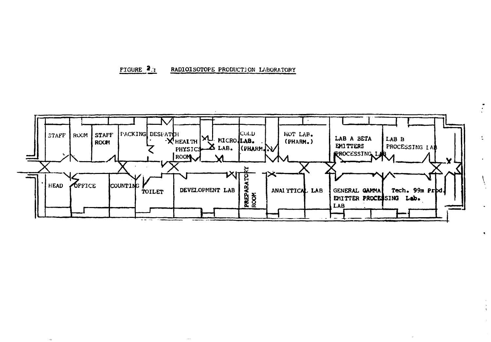#### FIGURE 2: RADIOISOTOPE PRODUCTION LABORATORY

 $\ldots$ 

 $\alpha$ 



 $\bullet$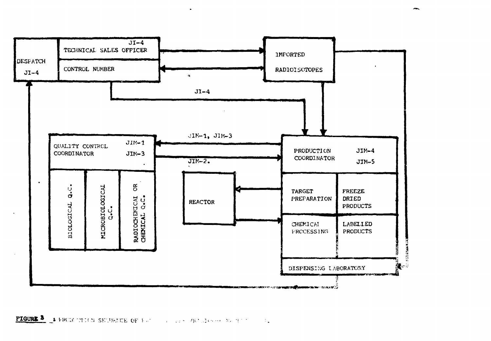

**PIGURE 3** & FROM CETON SECURICE OF FROM THE RESERVATION AND TEST OF ALL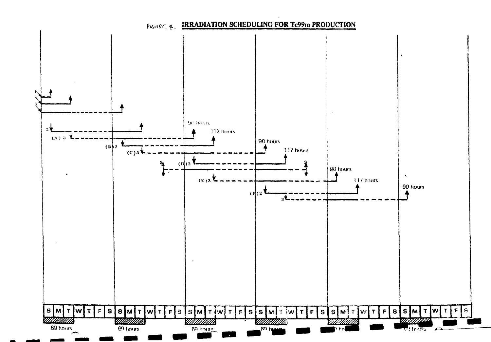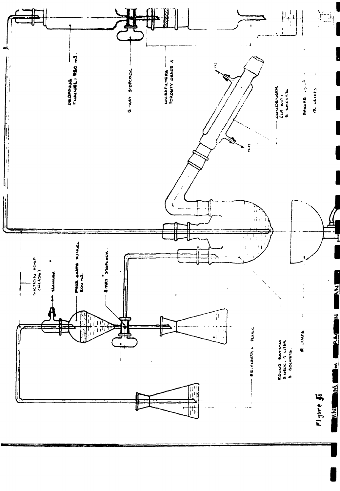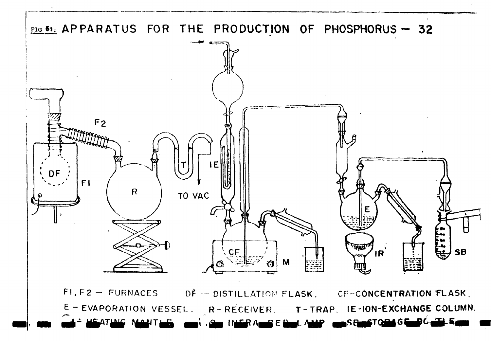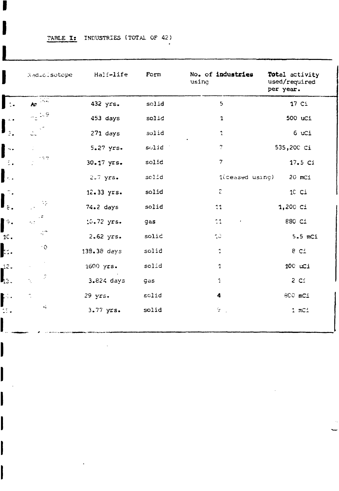|                             | TABLE I: INDUSTRIES (TOTAL OF 42) |  |  |
|-----------------------------|-----------------------------------|--|--|
| المختلفة والمستوا ليمس ومعا |                                   |  |  |

 $\sim 10$ 

I

|                               | Radiolsotope                                                | Half-life   | Form  | No. of industries<br>using | Total activity<br>used/required<br>per year. |
|-------------------------------|-------------------------------------------------------------|-------------|-------|----------------------------|----------------------------------------------|
| $\ddot{2}$                    | Ar $\overline{\mathcal{M}}$                                 | 432 yrs.    | solid | 5                          | 17 <sub>ci</sub>                             |
| $\overline{4}$ .              | $\gamma_0 \geq 9$                                           | 453 days    | solid | $\mathbf{1}$               | 500 uCi                                      |
| $\mathbb{R}_+$                | $\frac{1}{2\pi} \frac{\sqrt{2}}{2}$                         | $271$ days  | solid | 1                          | 6 uCi                                        |
| $\sim$ .                      | ÷.                                                          | 5.27 yrs.   | solid | 7                          | 535,200 Ci                                   |
| Ξ.                            | 127                                                         | 30.17 yrs.  | solid | $\overline{\phantom{a}}$   | 17.5 Ci                                      |
| $\mathbf{r}_{\rm{obs}}$       |                                                             | $2.7$ yrs.  | solid | l(ceased using)            | 20 mCi                                       |
| $\mathbb{C}$ .                |                                                             | 12.33 yrs.  | solid | $\hat{\epsilon}$           | 10 Ci                                        |
| $\hat{\epsilon}$ .            | $\mathcal{N}_{\mathcal{P}}$<br>$\mathbb{R}^{ \mathcal{A} }$ | $74.2$ days | solid | 11                         | 1,200 Ci                                     |
| $\hat{\mathcal{F}}_{\bullet}$ | - 5<br>$\sigma_{\rm s}$ $\sigma$                            | 10.72 yrs.  | gas   | 11<br>$\bullet$            | 880 Ci                                       |
| $1C$ .                        | $\mathbb{Q}^n$                                              | $2.62$ yrs. | solid | $\sim$                     | $5.5$ mCi                                    |
| Ŀ.                            | ∽o.                                                         | 138.38 days | solid | 1                          | 8 Ci                                         |
| 12.                           |                                                             | 1600 yrs.   | solid | $\mathbf{1}$               | 100 uCi                                      |
| կշ.                           | $\mathcal{P}$<br>Ń,                                         | 3.824 days  | gas   | 1                          | $2 \, \text{C}$                              |
| $\mathbb{R}$ .                | ÷.                                                          | $29$ yrs.   | solid | 4                          | 800 mCi                                      |
| kt.                           | $\omega_{\rm T}$                                            | 3.77 yrs.   | solid | $\mathbb{S}^n$ .           | 1 mC1                                        |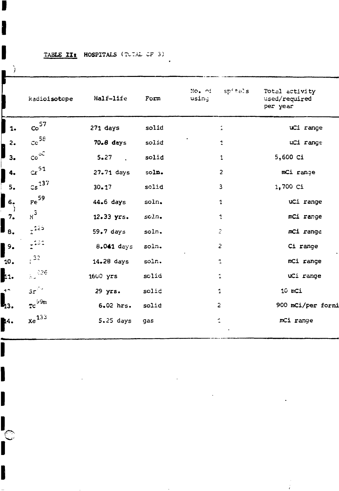## TABLE II: HOSPITALS (TUTAL OF 3)

í

B

I

I

**C** 

I

| J.           |                                                                  |                |       |                               |                                             |
|--------------|------------------------------------------------------------------|----------------|-------|-------------------------------|---------------------------------------------|
|              | Radioisotope                                                     | Half-life      | Form  | $sp2$ tals<br>No. of<br>using | Total activity<br>used/required<br>per year |
| I<br>1.      | $\mathrm{co}^{57}$                                               | $271$ days     | solid | $\ddot{\phantom{1}}$          | uCi range                                   |
| $\mathbf{c}$ | $\mathrm{ce}^{58}$                                               | 70.8 days      | solid | 1                             | uCi range                                   |
| j<br>3.      | $\mathrm{co}^{\circ \mathbb{C}}$                                 | 5.27           | solid | 1                             | 5,600 Ci                                    |
| 4.<br>I      | $\alpha^{51}$                                                    | 27.71 days     | soln. | 2                             | mCi range                                   |
| 5.           | $\text{cs}^{137}$                                                | $30 - 17$      | solid | 3                             | 1,700 Ci                                    |
| 6.           | Fe <sup>59</sup>                                                 | 44.6 days      | soln. | 1                             | uCi range                                   |
| ÷<br>7.      | $n^3$                                                            | $12.33$ $yrs.$ | sc.   | $\mathbf{1}$                  | mCi range                                   |
| 8.           | $\frac{1}{4}$ 225                                                | 59.7 days      | soln. | $\mathcal{Z}$                 | mCi range                                   |
| 9.           | $\mathbb{R}^{222}$                                               | 8.041 days     | soln. | $\overline{c}$                | Ci range                                    |
| 10.          | $\frac{1}{2}$ 32                                                 | 14.28 days     | soln. | $\mathbf{1}$                  | mCi range                                   |
| 11.          | $\frac{1}{2}$ 226                                                | $1600$ $yrs$   | solid | $\ddot{\phantom{a}}$          | uCi range                                   |
| $\cdot$      | $3r^{23}$                                                        | 29 yrs.        | solic | 1                             | 10 mCi                                      |
| из.          | $\mathfrak{r} \mathsf{c}^{\mathrm{G} \mathfrak{R} \mathfrak{m}}$ | 6.02 hrs.      | solid | 2                             | 900 mCi/per forni                           |
| M4.          | $xe^{133}$                                                       | $5.25$ days    | gas   | 1                             | mCi range                                   |
|              |                                                                  |                |       |                               |                                             |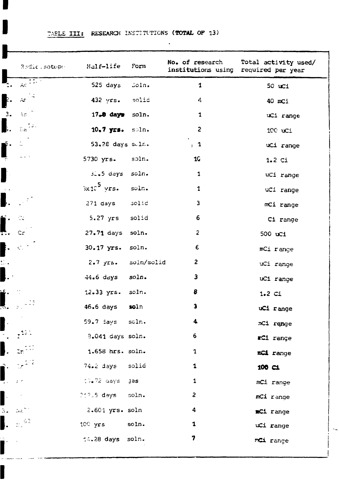$\langle \cdot \rangle$ 

| Redictiontope                                     | Half-life           | Form  | No. of research<br>institutions using | Total activity used/<br>required per year |
|---------------------------------------------------|---------------------|-------|---------------------------------------|-------------------------------------------|
| Ac $\overline{11}$                                | 525 days            | Soln. | $\mathbf{1}$                          | 50 uCi                                    |
| À¢                                                | $432 \text{ yrs.}$  | solid | $d_{\bf k}$                           | 40 mCi                                    |
| $\mathbb{Z}[\mathcal{C}]$                         | 17.8 days soln.     |       | 1                                     | uCi range                                 |
| $\frac{1}{2} \frac{1}{\alpha} \frac{1}{\alpha}$ . | 10.7 yrs. soln.     |       | $\overline{c}$                        | 100 uci                                   |
|                                                   | 53.28 days sulm.    |       | , 1                                   | uCi range                                 |
|                                                   | 5730 yrs.           | soln. | <b>1G</b>                             | 1.2 <sub>ci</sub>                         |
|                                                   | $3.5$ days          | soln. | $\mathbf{1}$                          | uCi range                                 |
|                                                   | $3x10^5$ yrs.       | soln. | $\mathbf 1$                           | uCi range                                 |
|                                                   | $271$ days          | solic | 3                                     | mCi range                                 |
| ≪.                                                | $5.27$ yrs          | solid | 6                                     | Ci range                                  |
| $\mathsf{C}\mathfrak{r}$                          | $27.71$ days        | soln. | $\overline{c}$                        | 500 uCi                                   |
| $\mathcal{C}^{(1)}$                               | 30.17 yrs.          | soln. | $\epsilon$                            | mCi range                                 |
|                                                   | 2.7 yrs. soln/solid |       | $\overline{a}$                        | uCi range                                 |
|                                                   | 44.6 da <b>ys</b>   | soln. | 3                                     | uCi range                                 |
|                                                   | 12.33 yrs.          | soln. | 8                                     | 1.2 <sub>ci</sub>                         |
|                                                   | $46.6$ days         | soln  | 3                                     | uCi range                                 |
|                                                   | $59.7$ days         | soln. | 4                                     | mCi range                                 |
|                                                   | 8.041 days soln.    |       | 6.                                    | <b>rCi</b> range                          |
|                                                   | 1.658 hrs. soln.    |       | $\mathbf{1}$                          | mCi range                                 |
|                                                   | 74.2 days solid     |       | $\mathbf 1$                           | 100 <sub>CI</sub>                         |
|                                                   | $10.72$ days $38$   |       | 1                                     | mCi range                                 |
|                                                   | 212.5 days soln.    |       | $\overline{\mathbf{c}}$               | mCi range                                 |
| $\log^{\frac{1}{\alpha}}$                         | 2.601 yrs. soln     |       | 4                                     | mCi range                                 |
| $\frac{1}{112}$ 63                                | 100 yrs soln.       |       | $\mathbf 1$                           | uCi range                                 |
|                                                   | 14.28 days soln.    |       | 7                                     | mCi range                                 |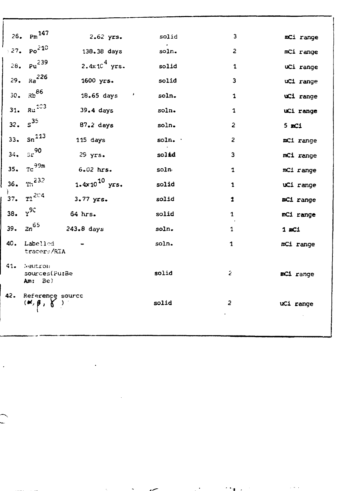|                 | $_{\rm Pm}$ 147                          |                               |         |                         |            |
|-----------------|------------------------------------------|-------------------------------|---------|-------------------------|------------|
| 26.             |                                          | $2.62$ yrs.                   | solid   | 3                       | mCi range  |
|                 | 327. Po <sup>210</sup>                   | 138.38 days                   | soln.   | 2                       | mCi range  |
|                 | $28. \text{Pu}^{239}$                    | $2.4 \times 10^4$ yrs.        | solid   | 1                       | uCi range  |
|                 | 29. $Re^{226}$                           | 1600 yrs.                     | solid   | 3                       | uCi range  |
| 30 <sub>o</sub> | $Rb^{86}$                                | $18.65 \text{ days}$ '        | soln.   | 1                       | uCi range  |
|                 | 31. $Ra^{103}$                           | $39.4$ days                   | soln.   | 1                       | uCi range  |
|                 | $32. S^{35}$                             | $87.2$ days                   | soln.   | $\overline{2}$          | $5$ m $C1$ |
| 33.             | $sn^{113}$                               | 115 days                      | soln. · | $\overline{\mathbf{c}}$ | mCi range  |
| 34.             | $5r^{90}$                                | $29$ yrs.                     | solid   | 3                       | mCi range  |
|                 | 35. $\text{TC}^{99m}$                    | 6.02 hrs.                     | soln    | $\mathbf{1}$            | mC1 range  |
|                 | 36. $m^{232}$                            | 1.4 $x$ 10 <sup>10</sup> yrs. | solid   | 1                       | uCi range  |
| 37.             | $T1^{204}$                               | 3.77 yrs.                     | solid   | 1                       | mCi range  |
| 38.             | $v^{90}$                                 | $64$ hrs.                     | solid   | 1                       | mCi range  |
| 39.             | $2n^{65}$                                | 243.8 days                    | soln.   | $\mathbf{1}$            | 1 mC1      |
|                 | 40. Labelled<br>tracers/RIA              |                               | soln.   | $\mathbf{1}$            | mCi range  |
| $41 -$          | Neutron<br>sources(Pu:Be<br>Am: Be)      |                               | solid   | Ź.                      | mCi range  |
| 42.             | Reference source<br>$(x, \beta, \gamma)$ | $\mathcal{L}$                 | solid   | 2                       | uCi range  |
|                 |                                          |                               |         |                         |            |

 $\mathcal{F}(\mathbf{r},\mathbf{g})$  ,  $\mathcal{F}(\mathbf{r})$ 

 $\tau_{\rm c}$  ,

 $\mathcal{L}^{\text{max}}_{\text{max}}$ 

 $\mathcal{L}(\mathcal{L})$  and  $\mathcal{L}(\mathcal{L})$  . The  $\mathcal{L}(\mathcal{L})$ 

 $\mathbf{A}^{(1)}$ 

 $\mathcal{A}^{\pm}$ 

 $\ddot{\phantom{a}}$ 

 $\overline{\phantom{0}}$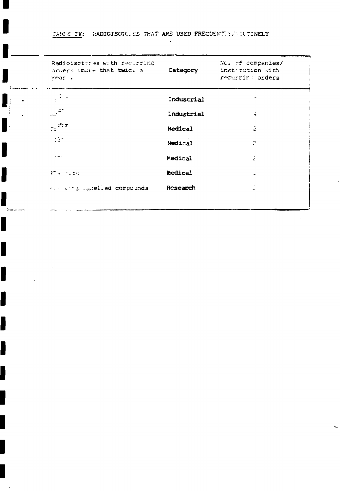TARLE IV: RADIOISOTCLES THAT ARE USED FREQUENTLY AND TUTINELY

 $\blacksquare$ 

 $\mathbf{J}_i$ 

H

I

I

I

I

J

I

I

B

I

 $\bullet$ 

 $\mathbf{r}$ 

 $\mathbf{r}$ 

| Radioisctores with recurring<br>pruers (more that twick a<br>year. | Category       | No. of companies/<br>inst tution with<br>recurrin: orders |
|--------------------------------------------------------------------|----------------|-----------------------------------------------------------|
| y Port                                                             | industrial     |                                                           |
| $\frac{1}{\sqrt{2}}$ at                                            | Industrial     | $\mathbf{r}$                                              |
| $75 \frac{99\pi}{2}$                                               | Medical        | Ž.                                                        |
| -135                                                               | Medical        | Ξ                                                         |
|                                                                    | Medical        | Ż                                                         |
| $274 - 7209$                                                       | <b>Medical</b> |                                                           |
| $\cdots$ and $\cdots$ and $\cdots$ and $\cdots$ and $\cdots$       | Research       |                                                           |
|                                                                    |                |                                                           |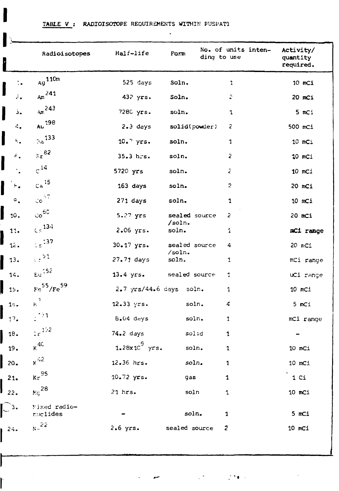TABLE V : RADIOISOTOPE REQUIREMENTS WITHIN FUSPATI

I

I

Ì

|                                           | Radioisotopes               | Half-life               | Form            | No. of units inten-<br>ding to use | Activity/<br>quantity<br>required. |
|-------------------------------------------|-----------------------------|-------------------------|-----------------|------------------------------------|------------------------------------|
| $\ddot{\cdot}$                            | $_{\rm Ag}$ 110m            | 525 days                | Soln.           | 1                                  | 10 mCi                             |
| J<br>2.                                   | Ar <sub>241</sub>           | 432 yrs.                | Soln.           | 2                                  | 20 mCi                             |
| Ĵ.                                        | Am <sup>243</sup>           | 7280 yrs.               | soln.           | 1                                  | 5 mCi                              |
| 4.                                        | Au 198                      | $2.3$ days              | solid(powder)   | 2                                  | 500 mc1                            |
| I<br>$\mathbf{c}_{\mathbf{r},\mathbf{a}}$ | $\Im{\hat{a}}^{133}$        | $10.7$ yrs.             | soln.           | 1                                  | 10 mCi                             |
| ۴.                                        | $\epsilon_r$ 82             | $35.3$ hrs.             | soln.           | 2                                  | 10 mCi                             |
|                                           | $c^{14}$                    | 5720 yrs                | soln.           | Z                                  | 10 mCi                             |
| $\mathbb{H}_\bullet$                      | Ca <sup>15</sup>            | 163 days                | soln.           | 2                                  | 20 mCi                             |
| $\circ$ .                                 | $\texttt{co}^{\texttt{ST}}$ | 271 days                | soln.           | 1                                  | 10 mCi                             |
| $\vert\vert$ 10.                          | $\cos^{60}$                 | 5.27 yrs                | sealed source   | 2                                  | 20 mCi                             |
| 11.                                       | $\zeta\,\mathrm{s}^{-134}$  | 2.06 yrs.               | /soln.<br>soln. | 1                                  | mCi range                          |
| 12.                                       | $\lesssim_{5}$ 137          | 30.17 yrs.              | sealed source   | 4                                  | 20 mCi                             |
| $\frac{1}{3}$ .                           | $\frac{1}{2}$ 51            | $27.71$ days            | /soln.<br>soln. | 1                                  | mCi range                          |
| 14.                                       | $\epsilon$ u <sup>152</sup> | 13.4 yrs.               | sealed source   | 1                                  | uCi range                          |
| $\blacksquare$ 15.                        | $Fe^{55}/Fe^{59}$           | 2.7 yrs/44.6 days       | soln.           | 1                                  | $10$ mCi                           |
| 1 <sub>o</sub>                            | $\kappa^2$                  | 12.33 yrs.              | soln.           | 4                                  | 5 mCi                              |
| 17.                                       | $\therefore$ 1              | B.04 deys               | soln.           | 1                                  | mCi range                          |
| 18.                                       | $\div r^{152}$              | $74.2$ days             | solid           | 1                                  |                                    |
| 19.                                       | $k^{4C}$                    | $1.28 \times 10^9$ yrs. | soln.           | $\mathbf 1$                        | 10 mCi                             |
| $\vert$ 20.                               | $\kappa$ <sup>42</sup>      | 12.36 hrs.              | soln.           | 1                                  | 10 mCi                             |
| 21.                                       | $\kappa r^{35}$             | 10.72 yrs.              | gas             | $\mathbf{1}$                       | 1 <sub>c</sub>                     |
| $\mathbf{I}_{22}$ .                       | $M_{\rm G}$ <sup>28</sup>   | $21$ hrs.               | soln            | $\mathbf 1$                        | $10$ mCi                           |
| $\lfloor -3 \cdot \rfloor$                | Wixed radio-<br>nuclides    |                         | soln.           | 1                                  | 5 mCi                              |
| $1^{24}$                                  | N <sup>22</sup>             | $2.6$ yrs.              | sealed source   | $\mathbf{c}$                       | $10$ mCi                           |
|                                           |                             |                         |                 |                                    |                                    |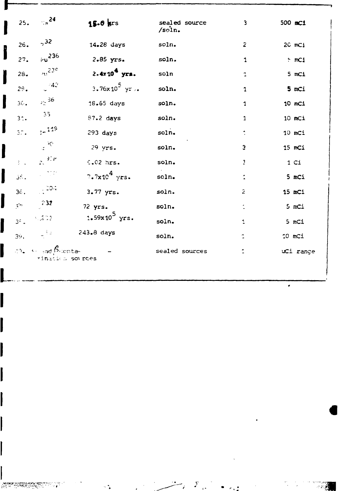| 25.                  | $\sim$ $\epsilon$ <sup>24</sup>                           | $15.0$ krs               | sealed source<br>/soln. | 3              | 500 mC1         |
|----------------------|-----------------------------------------------------------|--------------------------|-------------------------|----------------|-----------------|
| 26.                  | $5^3$                                                     | 14.28 days               | soln.                   | $\overline{z}$ | 20 mCi          |
| 27.                  | $50^{236}$                                                | 2.85 yrs.                | soln.                   | 1              | $~\cdot$ mCi    |
| $28-$                | $v0$ 230                                                  | $2.4x104$ yrs.           | soln                    | 1              | 5 mCi           |
| $2c$ .               | $\sim$ 42                                                 | 3.76x10 <sup>5</sup> yr  | soln.                   | 1              | 5 mCi           |
| 3 <sub>1</sub>       | $\frac{36}{2}$                                            | 16.65 days               | soln.                   | $\mathbf{1}$   | 10 mCi          |
| 3 <sub>1</sub>       | $-35$                                                     | 87.2 days                | soln.                   | $\mathbf{1}$   | $10$ mCi        |
| 37.                  | $\frac{119}{15}$                                          | 293 days                 | soln.                   | $\ddot{\cdot}$ | $10$ mCi        |
|                      | $\mathbb{R}^{\mathbb{Z}^{\times \mathbb{Z}}}$             | $29$ yrs.                | soln.                   | З              | 15 mCi          |
| $2<\infty$           | $\frac{1}{2\pi}$ ). $\mu$                                 | 6.02 hrs.                | soln.                   | Ţ              | 1 <sub>ci</sub> |
| بأباق                | $\sim 255$                                                | 7.7x10 <sup>4</sup> yrs. | soln.                   | Î.             | 5 mCi           |
| 36.                  | $\sim 204$                                                | 3.77 yrs.                | soln.                   | $\tilde{z}$    | 15 mCi          |
| $\frac{1}{\sqrt{2}}$ | $-232$                                                    | $72$ yrs.                | soln.                   | $\ddot{\cdot}$ | 5 mCi           |
| 3 <sup>2</sup>       | 5.202                                                     | $1.59x10^5$ yrs.         | soln.                   | $\ddagger$     | 5 mCi           |
| 39.                  | $\sim 1.5\,\mu$                                           | $243 - 8$ days           | soln.                   | $\ddot{\cdot}$ | 10 mCi          |
|                      | $\omega$ , $\omega$ ad $\beta$ centa-<br>rination sources |                          | sealed sources          |                | uCi range       |

 $\mathcal{S}$ 

 $\bullet$ 

 $\mathcal{L}_{\mathrm{max}}$ 

-983

 $\mathbf{r}$ 

l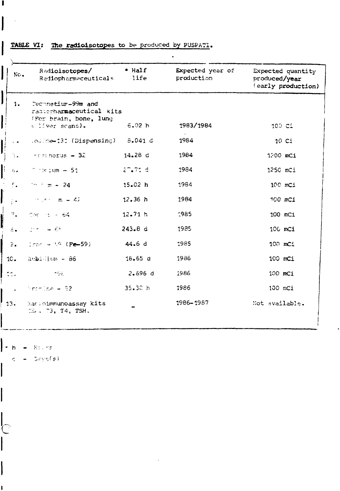| No.                                   | Radioisotopes/<br>Radiopharmaceuticals                                               | $\bullet$ Half<br>life | Expected year of<br>production | Expected quantity<br>produced/year<br>(early production) |
|---------------------------------------|--------------------------------------------------------------------------------------|------------------------|--------------------------------|----------------------------------------------------------|
| 1.                                    | Technetium-99m and<br>radiorharmaceutical kits<br>(For brain, bone, lung             |                        |                                |                                                          |
|                                       | s liver scans).                                                                      | 6.02h                  | 1983/1984                      | 100C1                                                    |
| $\sim$ $\bullet$                      | .odine-131 (Dispensing) 8.041 d                                                      |                        | 1984                           | 10 <sub>c</sub>                                          |
| 54                                    | $resinorus = 32$                                                                     | 14.28 d                | 1984                           | 1200 mCi                                                 |
| $\mathcal{L}_{\mathbf{r},\mathbf{a}}$ | $\degree$ $\degree$ : um $-51$                                                       | 27.71 d                | 1984                           | 1250 mCi                                                 |
| F.                                    | $\frac{1}{2}$ m = 24                                                                 | 15.02 h                | 1984                           | 100 mci                                                  |
| $\frac{1}{2}$ .                       | $m_{\rm e}$ example 42                                                               | 12.36h                 | 1984                           | 100 mCi                                                  |
| $\overline{\gamma}_{\rm in}$          | Cor $\approx$ $\approx$ 64                                                           | 12.71 h                | $-985$                         | 100 mCi                                                  |
| $\dot{\sigma}$ .                      | $\mathcal{D}^{\text{c}}$ for $\mathcal{D}^{\text{c}}$ , and $\mathcal{D}^{\text{c}}$ | 243.8 d                | 1985                           | 100 mCi                                                  |
| $\frac{1}{2}$                         | $1 - 59$ (Fe-59)                                                                     | 44.6 d                 | 1985                           | 100 mCi                                                  |
| $1C -$                                | mbillion - 86                                                                        | 18.65d                 | 1986                           | 100 mCi                                                  |
| $\mathbb{R}$                          | ingel                                                                                | 2.696d                 | 1986                           | 100 mCi                                                  |
| $\sim 10^{-11}$                       | Tremine $-$ 82.                                                                      | 35.30h                 | 1986                           | 100 mCi                                                  |
| 13.                                   | Racioimmunoassay kits<br>$12.73, 14.$ TSH.                                           |                        | 1986-1987                      | Not available.                                           |

## TABLE VI: The radioisotopes to be produced by PUSPATI.

 $\bullet$  h = Equing

 $\overline{\mathcal{C}}$ 

 $s = 5 \text{erg(s)}$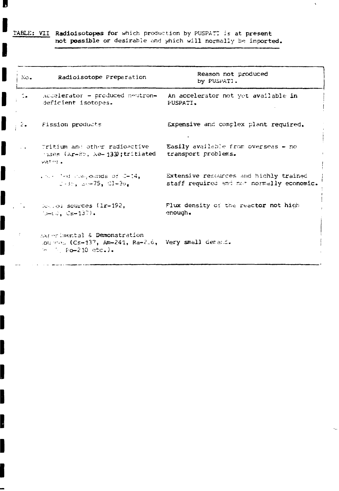TABLE: VII Radioisotopes for which production by PUSPATI is at present<br>not possible or desirable and which will normally be imported.

IJ

I

I

I

I

I

I

I

I

|<br>|-

| No.                           | Radioisotope Preparation                                                                                                                                          | Reason not produced<br>by PUSPATI.                                                  |
|-------------------------------|-------------------------------------------------------------------------------------------------------------------------------------------------------------------|-------------------------------------------------------------------------------------|
| $\sim$                        | Accelerator - produced neutron-<br>deficient isotopes.                                                                                                            | An accelerator not yet available in<br>PUSPATI.                                     |
| $\mathcal{Z}_{\bullet}$       | Fission products                                                                                                                                                  | Expensive and complex plant required.                                               |
| $\mathcal{L}^{\mathcal{L}}$ . | Pritium and other radioactive<br>$\gamma_{\rm 588}$ (Kr-85, Xe-133);tritiated<br>water.                                                                           | Easily available from overseas $-$ no<br>transport problems.                        |
|                               | $\ldots$ and compounds of $C-14$ ,<br>$C - 3r$ , $C - 75$ , $C1 - 3r$                                                                                             | Extensive resources and hichly trained<br>staff required and not normally economic. |
|                               | Cleated sources (Ir-192,<br>$\text{C}_{\mathbf{S}^{\text{int}}} \cup \text{C}_{\mathbf{S}^{\text{int}}} \mathbf{1} \mathbf{3} \text{C}_{\mathbf{S}^{\text{int}}}$ | Flux density of the reactor not high<br>enough.                                     |
|                               | sxperimental & Demonstration<br>lources (Cs-137, Am-241, Ra-216, Very small demand.<br>$\sim$ $\sim$ Fo-210 etc.).                                                |                                                                                     |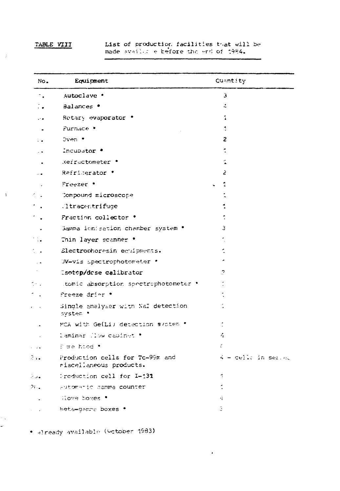### TABLE VIII

 $\hat{j}$ 

 $\sim 1$ 

 $\hat{\mathcal{C}}_{\mathbf{A}}$ u).

List of production facilities that will be made availut e before the end of 1984.

| No.              | Equipment                                                  | Quantity            |  |
|------------------|------------------------------------------------------------|---------------------|--|
| ٠.               | Autoclave .                                                | з                   |  |
|                  | Balances •                                                 | 4                   |  |
| ه ۰.             | Rotary evaporator .                                        | 1                   |  |
|                  | Furnace *                                                  | 1                   |  |
| ÷.               | Oven *                                                     | 2                   |  |
|                  | Incubator .                                                |                     |  |
|                  | Refractometer .                                            |                     |  |
|                  | Refricerator '                                             | 2                   |  |
|                  | Freezer •                                                  |                     |  |
|                  | Compound microscope                                        |                     |  |
|                  | ltracentrifuge                                             |                     |  |
|                  | Fraction collector *                                       |                     |  |
|                  | Gamma ionisation chamber system .                          | 3.                  |  |
|                  | Thin layer scanner .                                       |                     |  |
|                  | Electrophoresin equipments.                                |                     |  |
|                  | JV-vis spectrophotometer *                                 |                     |  |
|                  | Isotop/dose calibrator                                     | 2                   |  |
| $\mathbb{S}^1$ . | .tomic absorption spectrophotometer .                      |                     |  |
|                  | Freeze drier .                                             |                     |  |
|                  | Single analyser with Nal detection<br>system .             |                     |  |
|                  | MCA with Ge(Li) detection system *                         |                     |  |
|                  | laminar (low capinet *                                     | Ą.                  |  |
|                  | f me hood *                                                | C                   |  |
| ?                | Production cells for Tc-99m and<br>riscellaneous products. | 4 - cello in served |  |
| ہ رخ             | Preduction cell for I-131                                  | 1                   |  |
| 2).,             | eutomanic damma counter                                    |                     |  |
|                  | Slove boxes .                                              | 4Ì.                 |  |
|                  | Beta-gamma boxes .                                         | G.                  |  |

 $\mathbf{r}$ 

. Elready available (Sctober 1983)